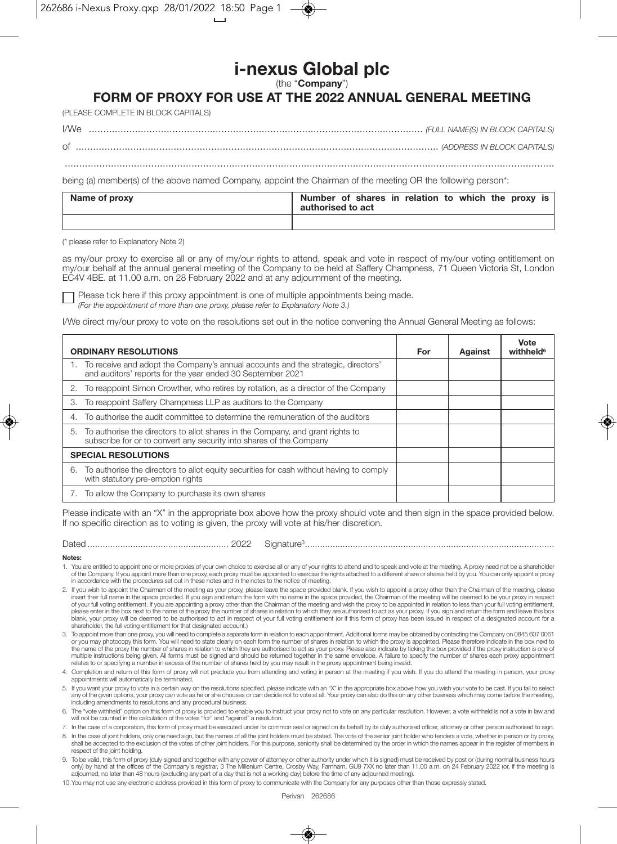## i-nexus Global plc

(the "Company")

## FORM OF PROXY FOR USE AT THE 2022 ANNUAL GENERAL MEETING

(PLEASE COMPLETE IN BLOCK CAPITALS)

 $\bigcap$ 

being (a) member(s) of the above named Company, appoint the Chairman of the meeting OR the following person\*:

| Name of proxy | Number of shares in relation to which the proxy is<br>authorised to act |
|---------------|-------------------------------------------------------------------------|
|               |                                                                         |

(\* please refer to Explanatory Note 2)

as my/our proxy to exercise all or any of my/our rights to attend, speak and vote in respect of my/our voting entitlement on my/our behalf at the annual general meeting of the Company to be held at Saffery Champness, 71 Queen Victoria St, London EC4V 4BE, at 11.00 a.m. on 28 February 2022 and at any adjournment of the meeting.

Please tick here if this proxy appointment is one of multiple appointments being made.

(For the appointment of more than one proxy, please refer to Explanatory Note 3.)

I/We direct my/our proxy to vote on the resolutions set out in the notice convening the Annual General Meeting as follows:

| <b>ORDINARY RESOLUTIONS</b>                                                                                                                              | For | Against | Vote<br>withheld <sup>6</sup> |
|----------------------------------------------------------------------------------------------------------------------------------------------------------|-----|---------|-------------------------------|
| 1. To receive and adopt the Company's annual accounts and the strategic, directors'<br>and auditors' reports for the year ended 30 September 2021        |     |         |                               |
| To reappoint Simon Crowther, who retires by rotation, as a director of the Company<br>2.                                                                 |     |         |                               |
| To reappoint Saffery Champness LLP as auditors to the Company<br>3.                                                                                      |     |         |                               |
| To authorise the audit committee to determine the remuneration of the auditors<br>4.                                                                     |     |         |                               |
| 5. To authorise the directors to allot shares in the Company, and grant rights to<br>subscribe for or to convert any security into shares of the Company |     |         |                               |
| <b>SPECIAL RESOLUTIONS</b>                                                                                                                               |     |         |                               |
| To authorise the directors to allot equity securities for cash without having to comply<br>6.<br>with statutory pre-emption rights                       |     |         |                               |
| To allow the Company to purchase its own shares                                                                                                          |     |         |                               |

Please indicate with an "X" in the appropriate box above how the proxy should vote and then sign in the space provided below. If no specific direction as to voting is given, the proxy will vote at his/her discretion.

| ×<br>× | × |
|--------|---|
|--------|---|

## **Nataon**

- 1. You are entitled to appoint one or more proxies of your own choice to exercise all or any of your rights to attend and to speak and vote at the meeting. A proxy need not be a shareholder<br>of the Company. If you appoint m in accordance with the procedures set out in these notes and in the notes to the notice of meeting.
- 2. If you wish to appoint the Chairman of the meeting as your proxy, please leave the space provided blank. If you wish to appoint a proxy other than the Chairman of the meeting, please provided. If you sign and return the in our full voting entitlement. If you are appointing a proxy other than the Chairman of the meeting and wish the proxy to be appointed in relation to less than your full voting entitlement, if you are appointing a proxy o please enter in the box next to the name of the proxy the number of shares in relation to which they are authorised to act as your proxy. If you sign and return the form and leave this box blank, your proxy will be deemed to be authorised to act in respect of your full voting entitlement (or if this form of proxy has been issued in respect of a designated account for a<br>shareholder, the full voting entitlemen
- 3. To appoint more than one proxy, you will need to complete a separate form in relation to each appointment. Additional forms may be obtained by contacting the Company on 0845 607 0061 or you may photocopy this form. You will need to state clearly on each form the number of shares in relation to which the proxy is appointed. Please therefore indicate in the box next to the name of the proxy the number of shares in relation to which they are authorised to act as your proxy. Please also indicate by ticking the box provided if the proxy instruction is one of increased in the matter of the same and structure and should be returned together in the same envelope. A failure to specify the number of shares each proxy appointment multiple instructions being given. All forms must be relates to or specifying a number in excess of the number of shares held by you may result in the proxy appointment being invalid.
- 4. Completion and return of this form of proxy will not preclude you from attending and voting in person at the meeting if you wish. If you do attend the meeting in person, your proxy appointments will automatically be terminated.
- 5. If you want your proxy to vote in a certain way on the resolutions specified, please indicate with an "X" in the appropriate box above how you wish your vote to be cast. If you fail to select any of the given options, your proxy can vote as he or she chooses or can decide not to vote at all. Your proxy can also do this on any other business which may come before the meeting,<br>including amendments to resolutions
- 6. The "vote withheld" option on this form of proxy is provided to enable you to instruct your proxy not to vote on any particular resolution. However, a vote withheld is not a vote in law and will not be counted in the calculation of the votes "for" and "against" a resolution
- 7. In the case of a corporation, this form of proxy must be executed under its common seal or signed on its behalf by its duly authorised officer, attorney or other person authorised to sign.

8 In the case of inint holders only one need sign, but the names of all the inint holders must be stated. The vote of the senior inint holder who tenders a vote, whether in person or by proxy shall be accepted to the exclusion of the votes of other joint holders. For this purpose, seniority shall be determined by the order in which the names appear in the register of members in respect of the joint holding.

- 9. To be valid, this form of proxy (duly signed and together with any power of attorney or other authority under which it is signed) must be received by post or (during normal business hours only) by hand at the offices of the Company's registrar, 3 The Millenium Centre, Crosby Way, Farnham, GU9 7XX no later than 11.00 a.m. on 24 February 2022 (or, if the meeting is adjourned, no later than 48 hours (excluding
- 10. You may not use any electronic address provided in this form of proxy to communicate with the Company for any purposes other than those expressly stated.